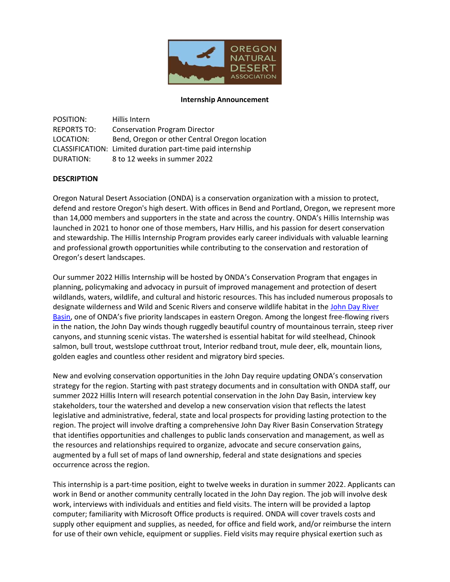

#### Internship Announcement

| POSITION:          | Hillis Intern                                              |
|--------------------|------------------------------------------------------------|
| <b>REPORTS TO:</b> | <b>Conservation Program Director</b>                       |
| LOCATION:          | Bend, Oregon or other Central Oregon location              |
|                    | CLASSIFICATION: Limited duration part-time paid internship |
| DURATION:          | 8 to 12 weeks in summer 2022                               |

### **DESCRIPTION**

Oregon Natural Desert Association (ONDA) is a conservation organization with a mission to protect, defend and restore Oregon's high desert. With offices in Bend and Portland, Oregon, we represent more than 14,000 members and supporters in the state and across the country. ONDA's Hillis Internship was launched in 2021 to honor one of those members, Harv Hillis, and his passion for desert conservation and stewardship. The Hillis Internship Program provides early career individuals with valuable learning and professional growth opportunities while contributing to the conservation and restoration of Oregon's desert landscapes.

Our summer 2022 Hillis Internship will be hosted by ONDA's Conservation Program that engages in planning, policymaking and advocacy in pursuit of improved management and protection of desert wildlands, waters, wildlife, and cultural and historic resources. This has included numerous proposals to designate wilderness and Wild and Scenic Rivers and conserve wildlife habitat in the John Day River Basin, one of ONDA's five priority landscapes in eastern Oregon. Among the longest free-flowing rivers in the nation, the John Day winds though ruggedly beautiful country of mountainous terrain, steep river canyons, and stunning scenic vistas. The watershed is essential habitat for wild steelhead, Chinook salmon, bull trout, westslope cutthroat trout, Interior redband trout, mule deer, elk, mountain lions, golden eagles and countless other resident and migratory bird species.

New and evolving conservation opportunities in the John Day require updating ONDA's conservation strategy for the region. Starting with past strategy documents and in consultation with ONDA staff, our summer 2022 Hillis Intern will research potential conservation in the John Day Basin, interview key stakeholders, tour the watershed and develop a new conservation vision that reflects the latest legislative and administrative, federal, state and local prospects for providing lasting protection to the region. The project will involve drafting a comprehensive John Day River Basin Conservation Strategy that identifies opportunities and challenges to public lands conservation and management, as well as the resources and relationships required to organize, advocate and secure conservation gains, augmented by a full set of maps of land ownership, federal and state designations and species occurrence across the region.

This internship is a part-time position, eight to twelve weeks in duration in summer 2022. Applicants can work in Bend or another community centrally located in the John Day region. The job will involve desk work, interviews with individuals and entities and field visits. The intern will be provided a laptop computer; familiarity with Microsoft Office products is required. ONDA will cover travels costs and supply other equipment and supplies, as needed, for office and field work, and/or reimburse the intern for use of their own vehicle, equipment or supplies. Field visits may require physical exertion such as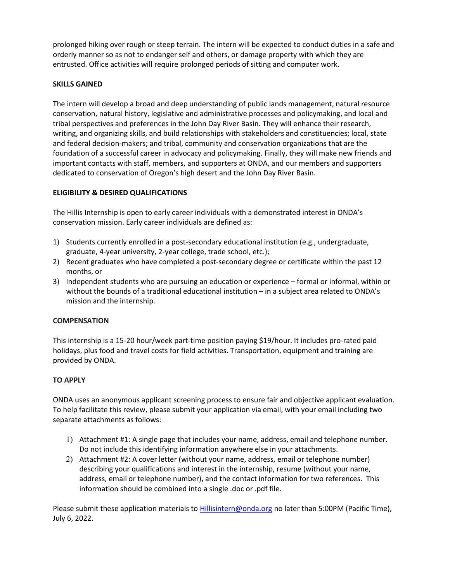prolonged hiking over rough or steep terrain. The intern will be expected to conduct duties in a safe and orderly manner so as not to endanger self and others, or damage property with which they are entrusted. Office activities will require prolonged periods of sitting and computer work.

# SKILLS GAINED

The intern will develop a broad and deep understanding of public lands management, natural resource conservation, natural history, legislative and administrative processes and policymaking, and local and tribal perspectives and preferences in the John Day River Basin. They will enhance their research, writing, and organizing skills, and build relationships with stakeholders and constituencies; local, state and federal decision-makers; and tribal, community and conservation organizations that are the foundation of a successful career in advocacy and policymaking. Finally, they will make new friends and important contacts with staff, members, and supporters at ONDA, and our members and supporters dedicated to conservation of Oregon's high desert and the John Day River Basin.

## ELIGIBILITY & DESIRED QUALIFICATIONS

The Hillis Internship is open to early career individuals with a demonstrated interest in ONDA's conservation mission. Early career individuals are defined as:

- 1) Students currently enrolled in a post-secondary educational institution (e.g., undergraduate, graduate, 4-year university, 2-year college, trade school, etc.);
- 2) Recent graduates who have completed a post-secondary degree or certificate within the past 12 months, or
- 3) Independent students who are pursuing an education or experience formal or informal, within or without the bounds of a traditional educational institution – in a subject area related to ONDA's mission and the internship.

### **COMPENSATION**

This internship is a 15-20 hour/week part-time position paying \$19/hour. It includes pro-rated paid holidays, plus food and travel costs for field activities. Transportation, equipment and training are provided by ONDA.

### TO APPLY

ONDA uses an anonymous applicant screening process to ensure fair and objective applicant evaluation. To help facilitate this review, please submit your application via email, with your email including two separate attachments as follows:

- 1) Attachment #1: A single page that includes your name, address, email and telephone number. Do not include this identifying information anywhere else in your attachments.
- 2) Attachment #2: A cover letter (without your name, address, email or telephone number) describing your qualifications and interest in the internship, resume (without your name, address, email or telephone number), and the contact information for two references. This information should be combined into a single .doc or .pdf file.

Please submit these application materials to Hillisintern@onda.org no later than 5:00PM (Pacific Time), July 6, 2022.